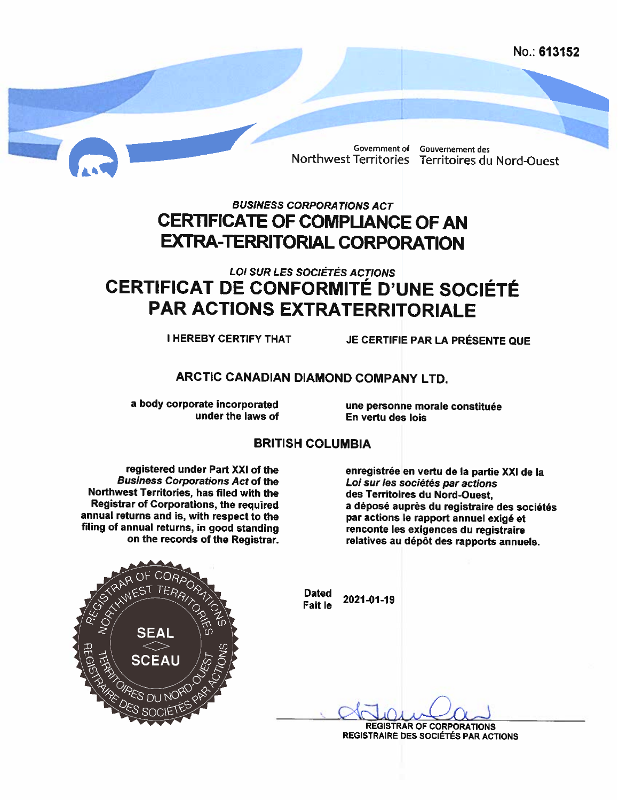No.: 613152

Government of Gouvernement des

Northwest Territories Territoires du Nord-Ouest

## **BUSINESS CORPORATIONS ACT CERTIFICATE OF COMPLIANCE OF AN EXTRA-TERRITORIAL CORPORATION**

# **LOI SUR LES SOCIÉTÉS ACTIONS CERTIFICAT DE CONFORMITÉ D'UNE SOCIÉTÉ PAR ACTIONS EXTRATERRITORIALE**

**I HEREBY CERTIFY THAT** 

JE CERTIFIE PAR LA PRÉSENTE QUE

### ARCTIC CANADIAN DIAMOND COMPANY LTD.

a body corporate incorporated under the laws of

une personne morale constituée En vertu des lois

### **BRITISH COLUMBIA**

registered under Part XXI of the **Business Corporations Act of the** Northwest Territories, has filed with the Registrar of Corporations, the required annual returns and is, with respect to the filing of annual returns, in good standing on the records of the Registrar.

enregistrée en vertu de la partie XXI de la Loi sur les sociétés par actions des Territoires du Nord-Ouest, a déposé auprès du registraire des sociétés par actions le rapport annuel exigé et renconte les exigences du registraire relatives au dépôt des rapports annuels.



**Dated** 2021-01-19 **Fait le** 

> **REGISTRAR OF CORPORATIONS** REGISTRAIRE DES SOCIÉTÉS PAR ACTIONS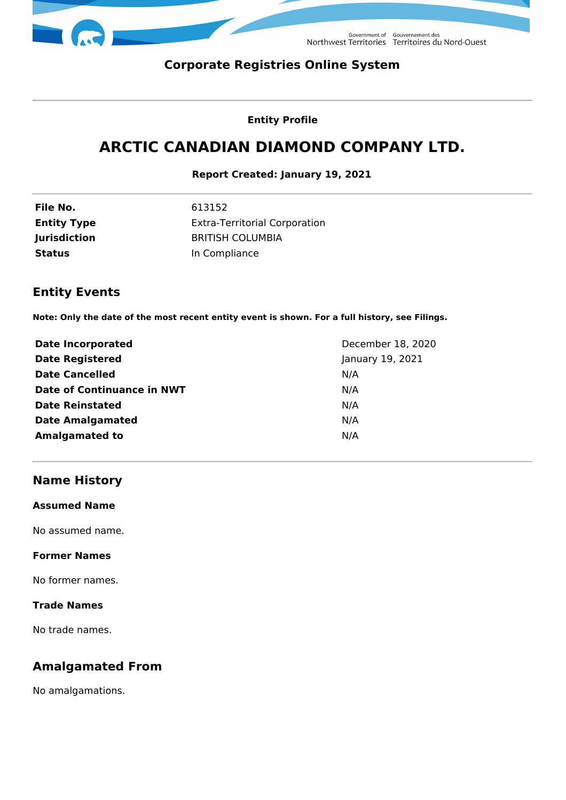

Government of Gouvernement des<br>Northwest Territories Territoires du Nord-Ouest

## **Corporate Registries Online System**

#### **Entity Profile**

# **ARCTIC CANADIAN DIAMOND COMPANY LTD.**

#### **Report Created: January 19, 2021**

| File No.            | 613152                               |
|---------------------|--------------------------------------|
| <b>Entity Type</b>  | <b>Extra-Territorial Corporation</b> |
| <b>Jurisdiction</b> | <b>BRITISH COLUMBIA</b>              |
| Status              | In Compliance                        |

## **Entity Events**

**Note: Only the date of the most recent entity event is shown. For a full history, see Filings.**

| <b>Date Incorporated</b>          | December 18, 2020 |
|-----------------------------------|-------------------|
| <b>Date Registered</b>            | January 19, 2021  |
| <b>Date Cancelled</b>             | N/A               |
| <b>Date of Continuance in NWT</b> | N/A               |
| <b>Date Reinstated</b>            | N/A               |
| <b>Date Amalgamated</b>           | N/A               |
| <b>Amalgamated to</b>             | N/A               |

## **Name History**

#### **Assumed Name**

No assumed name.

#### **Former Names**

No former names.

#### **Trade Names**

No trade names.

## **Amalgamated From**

No amalgamations.